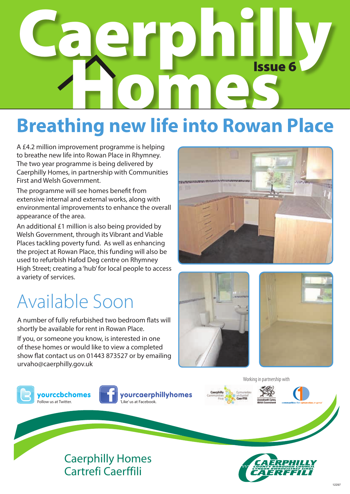# Caerphilly **OMES** Issue 6

### **Breathing new life into Rowan Place**

A £4.2 million improvement programme is helping to breathe new life into Rowan Place in Rhymney. The two year programme is being delivered by Caerphilly Homes, in partnership with Communities First and Welsh Government.

The programme will see homes benefit from extensive internal and external works, along with environmental improvements to enhance the overall appearance of the area.

An additional £1 million is also being provided by Welsh Government, through its Vibrant and Viable Places tackling poverty fund. As well as enhancing the project at Rowan Place, this funding will also be used to refurbish Hafod Deg centre on Rhymney High Street; creating a 'hub' for local people to access a variety of services.

### Available Soon

A number of fully refurbished two bedroom flats will shortly be available for rent in Rowan Place.

If you, or someone you know, is interested in one of these homes or would like to view a completed show flat contact us on 01443 873527 or by emailing urvaho@caerphilly.gov.uk















Working in partnership with



Caerphilly Homes Cartrefi Caerffili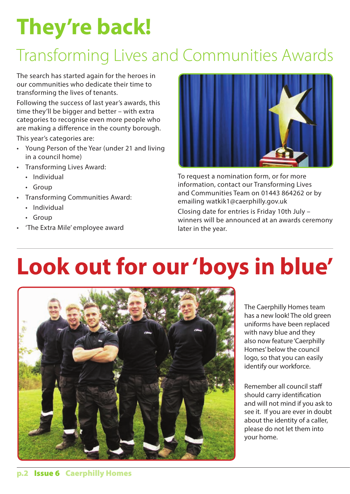# **They're back!**

### Transforming Lives and Communities Awards

The search has started again for the heroes in our communities who dedicate their time to transforming the lives of tenants.

Following the success of last year's awards, this time they'll be bigger and better – with extra categories to recognise even more people who are making a difference in the county borough.

This year's categories are:

- • Young Person of the Year (under 21 and living in a council home)
- • Transforming Lives Award:
	- Individual
	- • Group
- • Transforming Communities Award:
	- Individual
	- • Group
- 'The Extra Mile' employee award



To request a nomination form, or for more information, contact our Transforming Lives and Communities Team on 01443 864262 or by emailing watkik1@caerphilly.gov.uk

Closing date for entries is Friday 10th July – winners will be announced at an awards ceremony later in the year.

# **Look out for our 'boys in blue'**



The Caerphilly Homes team has a new look! The old green uniforms have been replaced with navy blue and they also now feature 'Caerphilly Homes' below the council logo, so that you can easily identify our workforce.

Remember all council staff should carry identification and will not mind if you ask to see it. If you are ever in doubt about the identity of a caller, please do not let them into your home.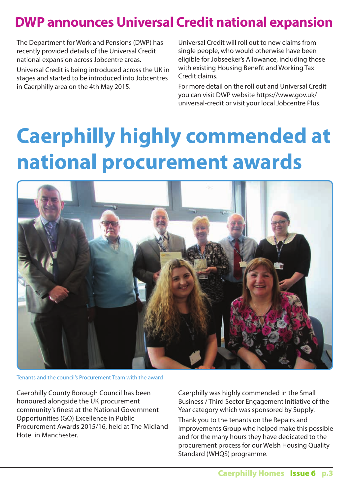#### **DWP announces Universal Credit national expansion**

The Department for Work and Pensions (DWP) has recently provided details of the Universal Credit national expansion across Jobcentre areas.

Universal Credit is being introduced across the UK in stages and started to be introduced into Jobcentres in Caerphilly area on the 4th May 2015.

Universal Credit will roll out to new claims from single people, who would otherwise have been eligible for Jobseeker's Allowance, including those with existing Housing Benefit and Working Tax Credit claims.

For more detail on the roll out and Universal Credit you can visit DWP website https://www.gov.uk/ universal-credit or visit your local Jobcentre Plus.

# **Caerphilly highly commended at national procurement awards**



Tenants and the council's Procurement Team with the award

Caerphilly County Borough Council has been honoured alongside the UK procurement community's finest at the National Government Opportunities (GO) Excellence in Public Procurement Awards 2015/16, held at The Midland Hotel in Manchester.

Caerphilly was highly commended in the Small Business / Third Sector Engagement Initiative of the Year category which was sponsored by Supply. Thank you to the tenants on the Repairs and Improvements Group who helped make this possible and for the many hours they have dedicated to the procurement process for our Welsh Housing Quality Standard (WHQS) programme.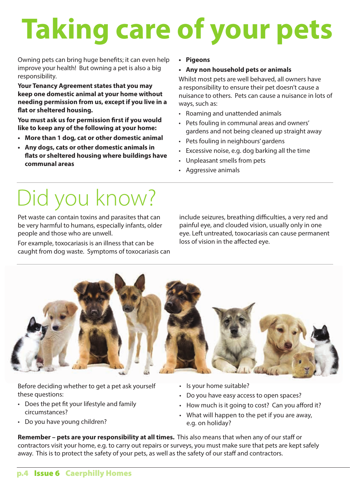# **Taking care of your pets**

Owning pets can bring huge benefits; it can even help improve your health! But owning a pet is also a big responsibility.

**Your Tenancy Agreement states that you may keep one domestic animal at your home without needing permission from us, except if you live in a flat or sheltered housing.**

**You must ask us for permission first if you would like to keep any of the following at your home:**

- **• More than 1 dog, cat or other domestic animal**
- **• Any dogs, cats or other domestic animals in flats or sheltered housing where buildings have communal areas**

**• Pigeons**

#### **• Any non household pets or animals**

Whilst most pets are well behaved, all owners have a responsibility to ensure their pet doesn't cause a nuisance to others. Pets can cause a nuisance in lots of ways, such as:

- • Roaming and unattended animals
- • Pets fouling in communal areas and owners' gardens and not being cleaned up straight away
- Pets fouling in neighbours' gardens
- • Excessive noise, e.g. dog barking all the time
- • Unpleasant smells from pets
- • Aggressive animals

# Did you know?

Pet waste can contain toxins and parasites that can be very harmful to humans, especially infants, older people and those who are unwell.

For example, toxocariasis is an illness that can be caught from dog waste. Symptoms of toxocariasis can include seizures, breathing difficulties, a very red and painful eye, and clouded vision, usually only in one eye. Left untreated, toxocariasis can cause permanent loss of vision in the affected eye.



Before deciding whether to get a pet ask yourself these questions:

- • Does the pet fit your lifestyle and family circumstances?
- Do you have young children?
- Is your home suitable?
- Do you have easy access to open spaces?
- How much is it going to cost? Can you afford it?
- What will happen to the pet if you are away, e.g. on holiday?

**Remember – pets are your responsibility at all times.** This also means that when any of our staff or contractors visit your home, e.g. to carry out repairs or surveys, you must make sure that pets are kept safely away. This is to protect the safety of your pets, as well as the safety of our staff and contractors.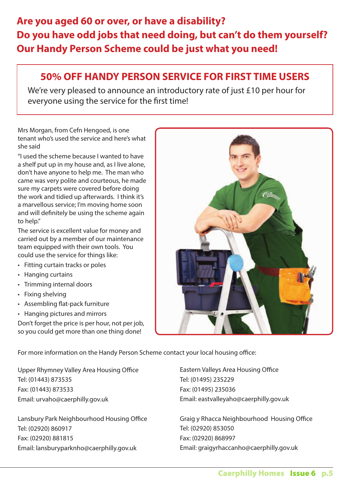#### **Are you aged 60 or over, or have a disability? Do you have odd jobs that need doing, but can't do them yourself? Our Handy Person Scheme could be just what you need!**

#### **50% OFF HANDY PERSON SERVICE FOR FIRST TIME USERS**

We're very pleased to announce an introductory rate of just £10 per hour for everyone using the service for the first time!

Mrs Morgan, from Cefn Hengoed, is one tenant who's used the service and here's what she said

"I used the scheme because I wanted to have a shelf put up in my house and, as I live alone, don't have anyone to help me. The man who came was very polite and courteous, he made sure my carpets were covered before doing the work and tidied up afterwards. I think it's a marvellous service; I'm moving home soon and will definitely be using the scheme again to help."

The service is excellent value for money and carried out by a member of our maintenance team equipped with their own tools. You could use the service for things like:

- Fitting curtain tracks or poles
- • Hanging curtains
- • Trimming internal doors
- Fixing shelving
- • Assembling flat-pack furniture
- • Hanging pictures and mirrors

Don't forget the price is per hour, not per job, so you could get more than one thing done!

For more information on the Handy Person Scheme contact your local housing office:

Upper Rhymney Valley Area Housing Office Tel: (01443) 873535 Fax: (01443) 873533 Email: urvaho@caerphilly.gov.uk

Lansbury Park Neighbourhood Housing Office Tel: (02920) 860917 Fax: (02920) 881815 Email: lansburyparknho@caerphilly.gov.uk

Eastern Valleys Area Housing Office Tel: (01495) 235229 Fax: (01495) 235036 Email: eastvalleyaho@caerphilly.gov.uk

Graig y Rhacca Neighbourhood Housing Office Tel: (02920) 853050 Fax: (02920) 868997 Email: graigyrhaccanho@caerphilly.gov.uk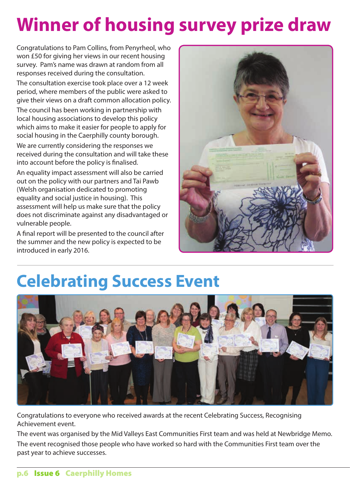## **Winner of housing survey prize draw**

Congratulations to Pam Collins, from Penyrheol, who won £50 for giving her views in our recent housing survey. Pam's name was drawn at random from all responses received during the consultation.

The consultation exercise took place over a 12 week period, where members of the public were asked to give their views on a draft common allocation policy.

The council has been working in partnership with local housing associations to develop this policy which aims to make it easier for people to apply for social housing in the Caerphilly county borough.

We are currently considering the responses we received during the consultation and will take these into account before the policy is finalised.

An equality impact assessment will also be carried out on the policy with our partners and Tai Pawb (Welsh organisation dedicated to promoting equality and social justice in housing). This assessment will help us make sure that the policy does not discriminate against any disadvantaged or vulnerable people.

A final report will be presented to the council after the summer and the new policy is expected to be introduced in early 2016.



### **Celebrating Success Event**



Congratulations to everyone who received awards at the recent Celebrating Success, Recognising Achievement event.

The event was organised by the Mid Valleys East Communities First team and was held at Newbridge Memo. The event recognised those people who have worked so hard with the Communities First team over the past year to achieve successes.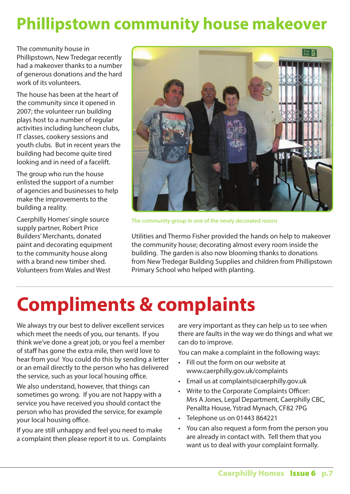#### **Phillipstown community house makeover**

The community house in Phillipstown, New Tredegar recently had a makeover thanks to a number of generous donations and the hard work of its volunteers.

The house has been at the heart of the community since it opened in 2007; the volunteer run building plays host to a number of regular activities including luncheon clubs, IT classes, cookery sessions and youth clubs. But in recent years the building had become quite tired looking and in need of a facelift.

The group who run the house enlisted the support of a number of agencies and businesses to help make the improvements to the building a reality.

Caerphilly Homes' single source supply partner, Robert Price Builders'Merchants, donated paint and decorating equipment to the community house along with a brand new timber shed. Volunteers from Wales and West



The community group in one of the newly decorated rooms

Utilities and Thermo Fisher provided the hands on help to makeover the community house; decorating almost every room inside the building. The garden is also now blooming thanks to donations from New Tredegar Building Supplies and children from Phillipstown Primary School who helped with planting.

### **Compliments & complaints**

We always try our best to deliver excellent services which meet the needs of you, our tenants. If you think we've done a great job, or you feel a member of staff has gone the extra mile, then we'd love to hear from you! You could do this by sending a letter or an email directly to the person who has delivered the service, such as your local housing office.

We also understand, however, that things can sometimes go wrong. If you are not happy with a service you have received you should contact the person who has provided the service, for example your local housing office.

If you are still unhappy and feel you need to make a complaint then please report it to us. Complaints are very important as they can help us to see when there are faults in the way we do things and what we can do to improve.

You can make a complaint in the following ways:

- • Fill out the form on our website at www.caerphilly.gov.uk/complaints
- • Email us at complaints@caerphilly.gov.uk
- • Write to the Corporate Complaints Officer: Mrs A Jones, Legal Department, Caerphilly CBC, Penallta House, Ystrad Mynach, CF82 7PG
- • Telephone us on 01443 864221
- You can also request a form from the person you are already in contact with. Tell them that you want us to deal with your complaint formally.